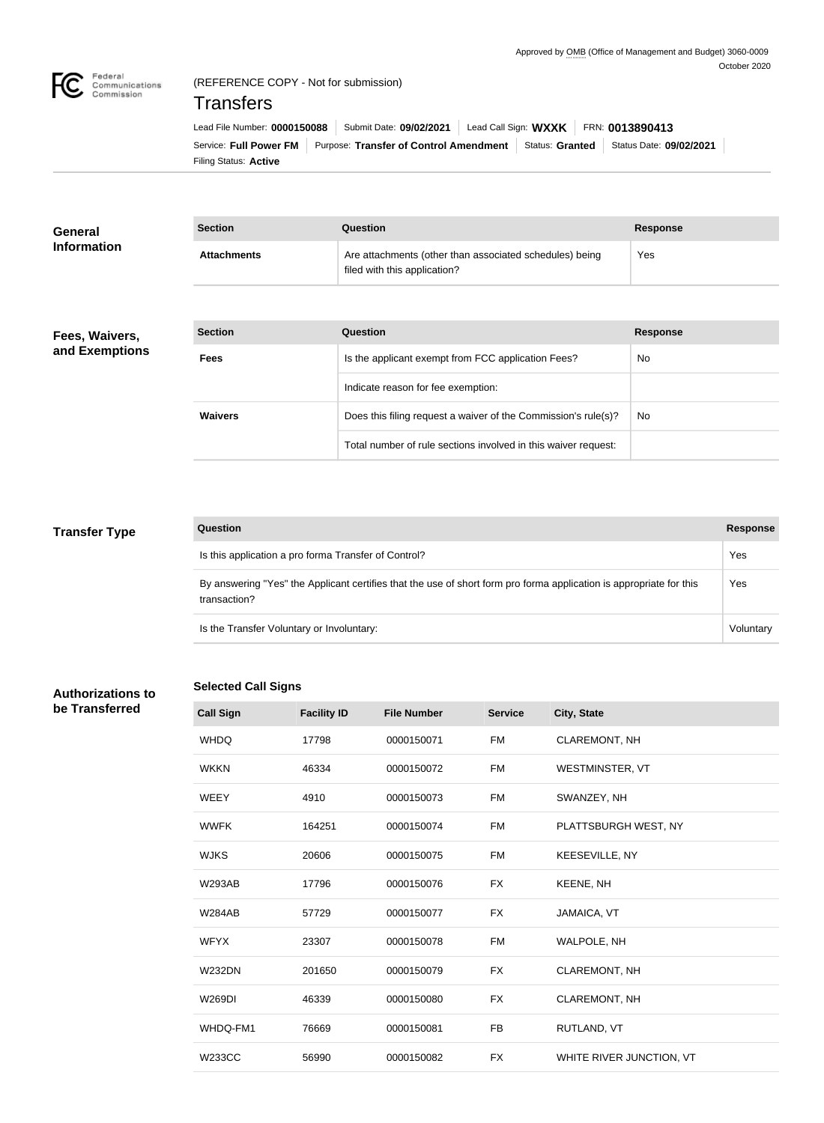

## (REFERENCE COPY - Not for submission)

## **Transfers**

Filing Status: **Active** Service: Full Power FM Purpose: Transfer of Control Amendment Status: Granted Status Date: 09/02/2021 Lead File Number: **0000150088** Submit Date: **09/02/2021** Lead Call Sign: **WXXK** FRN: **0013890413**

| <b>General</b><br><b>Information</b> | <b>Section</b>     | Question                                                                                | <b>Response</b> |
|--------------------------------------|--------------------|-----------------------------------------------------------------------------------------|-----------------|
|                                      | <b>Attachments</b> | Are attachments (other than associated schedules) being<br>filed with this application? | Yes             |

### **Fees, Waivers, and Exemptions**

| <b>Section</b> | Question                                                       | <b>Response</b> |
|----------------|----------------------------------------------------------------|-----------------|
| <b>Fees</b>    | Is the applicant exempt from FCC application Fees?             | No.             |
|                | Indicate reason for fee exemption:                             |                 |
| <b>Waivers</b> | Does this filing request a waiver of the Commission's rule(s)? | No.             |
|                | Total number of rule sections involved in this waiver request: |                 |

### **Transfer Type**

| Question                                                                                                                            | <b>Response</b> |
|-------------------------------------------------------------------------------------------------------------------------------------|-----------------|
| Is this application a pro forma Transfer of Control?                                                                                | Yes             |
| By answering "Yes" the Applicant certifies that the use of short form pro forma application is appropriate for this<br>transaction? | Yes             |
| Is the Transfer Voluntary or Involuntary:                                                                                           | Voluntarv       |

### **Authorizations to be Transferred**

### **Selected Call Signs**

**Call Sign Facility ID File Number Service City, State** WHDQ 17798 0000150071 FM CLAREMONT, NH WKKN 46334 0000150072 FM WESTMINSTER, VT WEEY 4910 0000150073 FM SWANZEY, NH WWFK 164251 0000150074 FM PLATTSBURGH WEST, NY WJKS 20606 0000150075 FM KEESEVILLE, NY W293AB 17796 0000150076 FX KEENE, NH W284AB 57729 0000150077 FX JAMAICA, VT WFYX 23307 0000150078 FM WALPOLE, NH W232DN 201650 0000150079 FX CLAREMONT, NH W269DI 46339 0000150080 FX CLAREMONT, NH WHDQ-FM1 76669 0000150081 FB RUTLAND, VT W233CC 56990 0000150082 FX WHITE RIVER JUNCTION, VT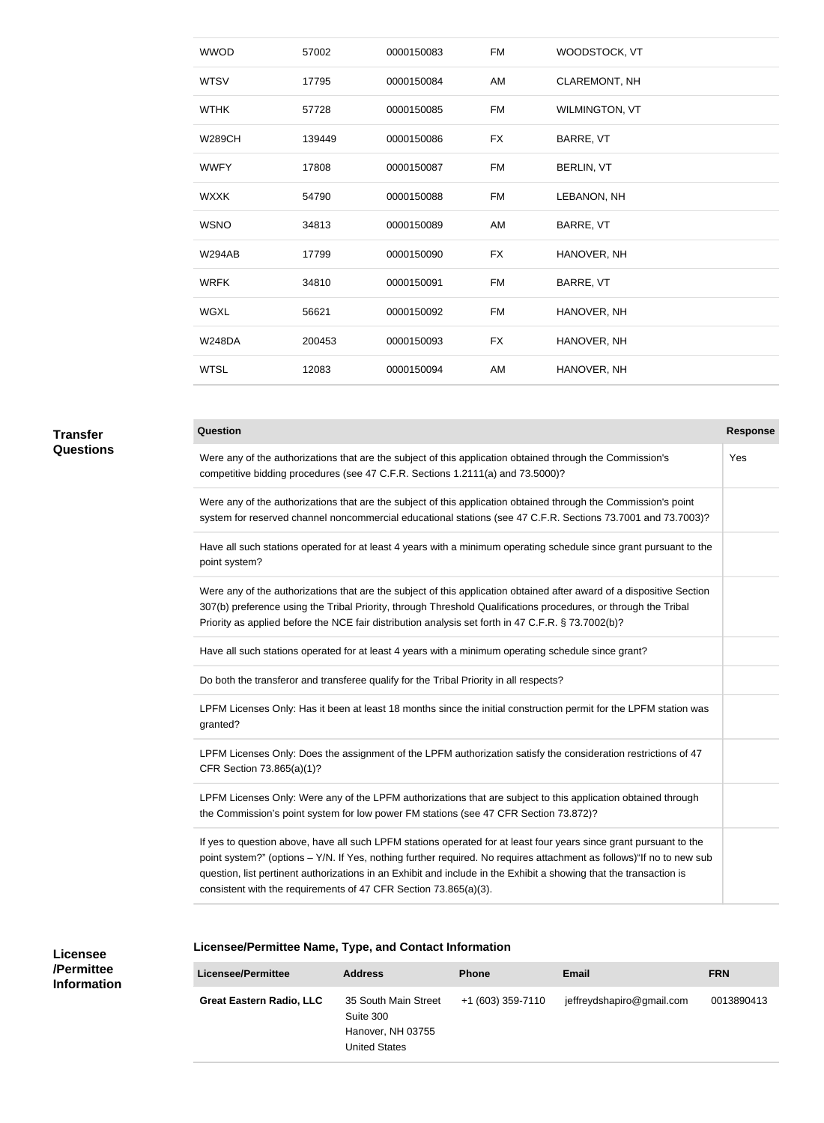| <b>WWOD</b>   | 57002  | 0000150083 | FM        | WOODSTOCK, VT        |
|---------------|--------|------------|-----------|----------------------|
| <b>WTSV</b>   | 17795  | 0000150084 | AM        | <b>CLAREMONT, NH</b> |
| <b>WTHK</b>   | 57728  | 0000150085 | FM        | WILMINGTON, VT       |
| <b>W289CH</b> | 139449 | 0000150086 | FX        | BARRE, VT            |
| <b>WWFY</b>   | 17808  | 0000150087 | FM        | BERLIN, VT           |
| <b>WXXK</b>   | 54790  | 0000150088 | FM        | LEBANON, NH          |
| <b>WSNO</b>   | 34813  | 0000150089 | AM        | BARRE, VT            |
| <b>W294AB</b> | 17799  | 0000150090 | <b>FX</b> | HANOVER, NH          |
| <b>WRFK</b>   | 34810  | 0000150091 | FM        | BARRE, VT            |
| <b>WGXL</b>   | 56621  | 0000150092 | FM        | HANOVER, NH          |
| <b>W248DA</b> | 200453 | 0000150093 | <b>FX</b> | HANOVER, NH          |
| <b>WTSL</b>   | 12083  | 0000150094 | AM        | HANOVER, NH          |
|               |        |            |           |                      |

# **Transfer**

#### **Question Response**

**Questions**

| Were any of the authorizations that are the subject of this application obtained through the Commission's<br>competitive bidding procedures (see 47 C.F.R. Sections 1.2111(a) and 73.5000)?                                                                                                                                                    | Yes |
|------------------------------------------------------------------------------------------------------------------------------------------------------------------------------------------------------------------------------------------------------------------------------------------------------------------------------------------------|-----|
| Were any of the authorizations that are the subject of this application obtained through the Commission's point<br>system for reserved channel noncommercial educational stations (see 47 C.F.R. Sections 73.7001 and 73.7003)?                                                                                                                |     |
| Have all such stations operated for at least 4 years with a minimum operating schedule since grant pursuant to the<br>point system?                                                                                                                                                                                                            |     |
| Were any of the authorizations that are the subject of this application obtained after award of a dispositive Section<br>307(b) preference using the Tribal Priority, through Threshold Qualifications procedures, or through the Tribal<br>Priority as applied before the NCE fair distribution analysis set forth in 47 C.F.R. § 73.7002(b)? |     |
| Have all such stations operated for at least 4 years with a minimum operating schedule since grant?                                                                                                                                                                                                                                            |     |
| Do both the transferor and transferee qualify for the Tribal Priority in all respects?                                                                                                                                                                                                                                                         |     |
| LPFM Licenses Only: Has it been at least 18 months since the initial construction permit for the LPFM station was<br>granted?                                                                                                                                                                                                                  |     |
| LPFM Licenses Only: Does the assignment of the LPFM authorization satisfy the consideration restrictions of 47<br>CFR Section 73.865(a)(1)?                                                                                                                                                                                                    |     |
|                                                                                                                                                                                                                                                                                                                                                |     |

LPFM Licenses Only: Were any of the LPFM authorizations that are subject to this application obtained through the Commission's point system for low power FM stations (see 47 CFR Section 73.872)?

If yes to question above, have all such LPFM stations operated for at least four years since grant pursuant to the point system?" (options – Y/N. If Yes, nothing further required. No requires attachment as follows)"If no to new sub question, list pertinent authorizations in an Exhibit and include in the Exhibit a showing that the transaction is consistent with the requirements of 47 CFR Section 73.865(a)(3).

| Licensee/Permittee Name, Type, and Contact Information |  |  |  |
|--------------------------------------------------------|--|--|--|
|--------------------------------------------------------|--|--|--|

| Licensee/Permittee              | <b>Address</b>                                                          | <b>Phone</b>      | <b>Email</b>              | <b>FRN</b> |
|---------------------------------|-------------------------------------------------------------------------|-------------------|---------------------------|------------|
| <b>Great Eastern Radio, LLC</b> | 35 South Main Street<br>Suite 300<br>Hanover, NH 03755<br>United States | +1 (603) 359-7110 | jeffreydshapiro@gmail.com | 0013890413 |

**Licensee /Permittee Information**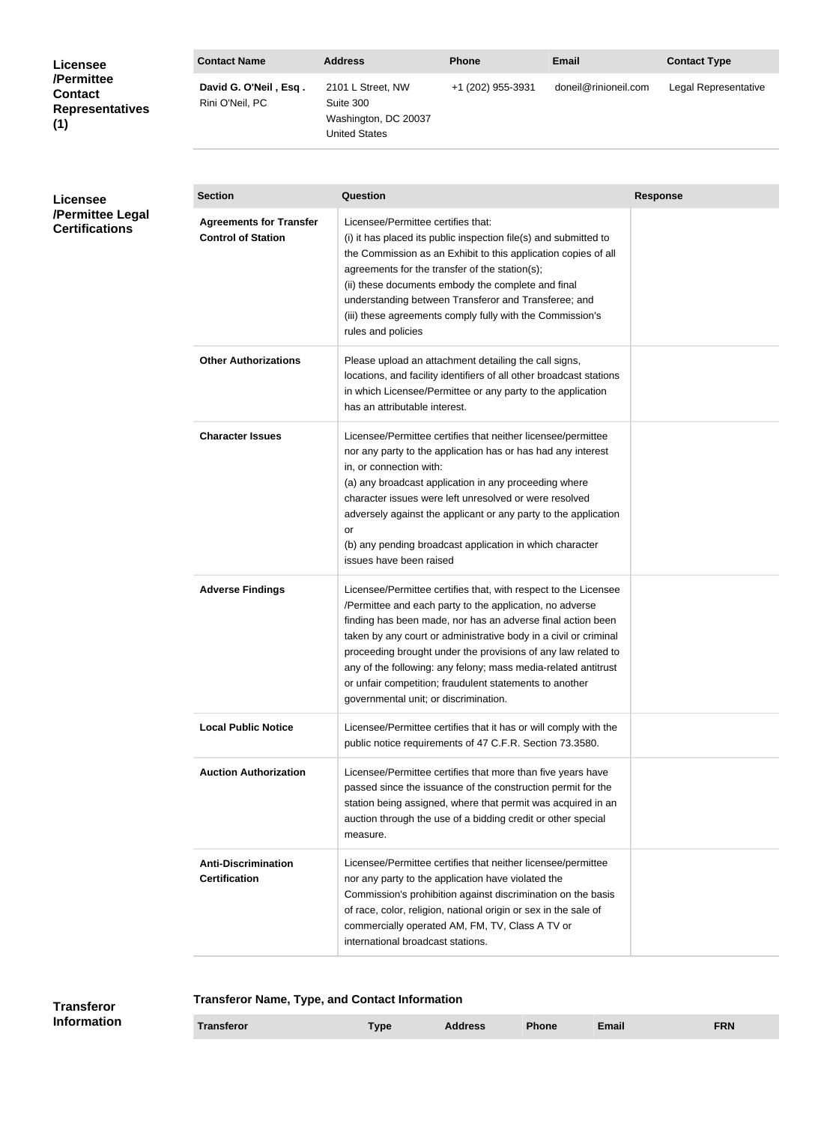| <b>Licensee</b>                                               | <b>Contact Name</b>                      | <b>Address</b>                                                          | <b>Phone</b>      | Email                | <b>Contact Type</b>  |
|---------------------------------------------------------------|------------------------------------------|-------------------------------------------------------------------------|-------------------|----------------------|----------------------|
| /Permittee<br><b>Contact</b><br><b>Representatives</b><br>(1) | David G. O'Neil, Esq.<br>Rini O'Neil, PC | 2101 L Street, NW<br>Suite 300<br>Washington, DC 20037<br>United States | +1 (202) 955-3931 | doneil@rinioneil.com | Legal Representative |

### **Licensee /Permittee Legal Certifications**

| <b>Section</b>                                              | Question                                                                                                                                                                                                                                                                                                                                                                                                                                                                                              | <b>Response</b> |
|-------------------------------------------------------------|-------------------------------------------------------------------------------------------------------------------------------------------------------------------------------------------------------------------------------------------------------------------------------------------------------------------------------------------------------------------------------------------------------------------------------------------------------------------------------------------------------|-----------------|
| <b>Agreements for Transfer</b><br><b>Control of Station</b> | Licensee/Permittee certifies that:<br>(i) it has placed its public inspection file(s) and submitted to<br>the Commission as an Exhibit to this application copies of all<br>agreements for the transfer of the station(s);<br>(ii) these documents embody the complete and final<br>understanding between Transferor and Transferee; and<br>(iii) these agreements comply fully with the Commission's<br>rules and policies                                                                           |                 |
| <b>Other Authorizations</b>                                 | Please upload an attachment detailing the call signs,<br>locations, and facility identifiers of all other broadcast stations<br>in which Licensee/Permittee or any party to the application<br>has an attributable interest.                                                                                                                                                                                                                                                                          |                 |
| <b>Character Issues</b>                                     | Licensee/Permittee certifies that neither licensee/permittee<br>nor any party to the application has or has had any interest<br>in, or connection with:<br>(a) any broadcast application in any proceeding where<br>character issues were left unresolved or were resolved<br>adversely against the applicant or any party to the application<br>or<br>(b) any pending broadcast application in which character<br>issues have been raised                                                            |                 |
| <b>Adverse Findings</b>                                     | Licensee/Permittee certifies that, with respect to the Licensee<br>/Permittee and each party to the application, no adverse<br>finding has been made, nor has an adverse final action been<br>taken by any court or administrative body in a civil or criminal<br>proceeding brought under the provisions of any law related to<br>any of the following: any felony; mass media-related antitrust<br>or unfair competition; fraudulent statements to another<br>governmental unit; or discrimination. |                 |
| <b>Local Public Notice</b>                                  | Licensee/Permittee certifies that it has or will comply with the<br>public notice requirements of 47 C.F.R. Section 73.3580.                                                                                                                                                                                                                                                                                                                                                                          |                 |
| <b>Auction Authorization</b>                                | Licensee/Permittee certifies that more than five years have<br>passed since the issuance of the construction permit for the<br>station being assigned, where that permit was acquired in an<br>auction through the use of a bidding credit or other special<br>measure.                                                                                                                                                                                                                               |                 |
| <b>Anti-Discrimination</b><br><b>Certification</b>          | Licensee/Permittee certifies that neither licensee/permittee<br>nor any party to the application have violated the<br>Commission's prohibition against discrimination on the basis<br>of race, color, religion, national origin or sex in the sale of<br>commercially operated AM, FM, TV, Class A TV or<br>international broadcast stations.                                                                                                                                                         |                 |

#### **Transferor Name, Type, and Contact Information Transferor Type Address Phone Email FRN Transferor Information**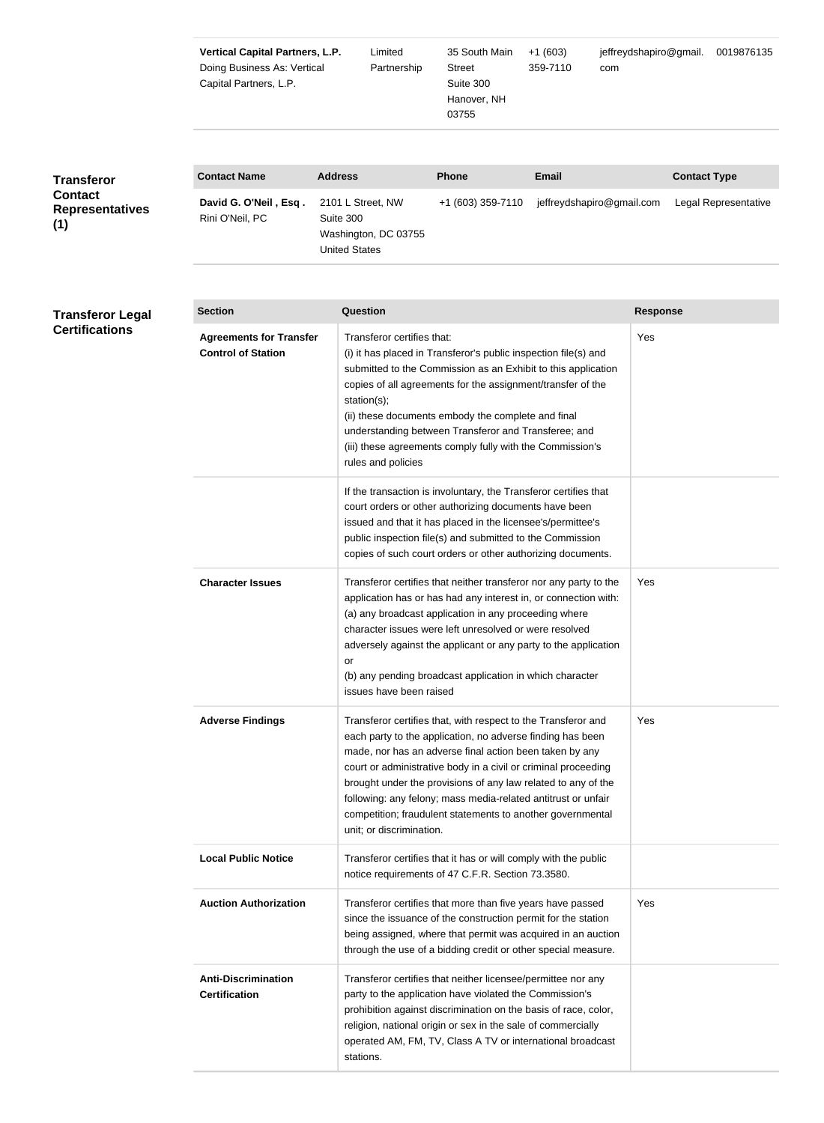|                                                                      | <b>Vertical Capital Partners, L.P.</b><br>Doing Business As: Vertical<br>Capital Partners, L.P. | Limited<br>Partnership                                                         | jeffreydshapiro@gmail.<br>35 South Main<br>$+1(603)$<br>359-7110<br>Street<br>com<br>Suite 300<br>Hanover, NH<br>03755 |                           | 0019876135           |
|----------------------------------------------------------------------|-------------------------------------------------------------------------------------------------|--------------------------------------------------------------------------------|------------------------------------------------------------------------------------------------------------------------|---------------------------|----------------------|
| <b>Transferor</b><br><b>Contact</b><br><b>Representatives</b><br>(1) | <b>Contact Name</b>                                                                             | <b>Address</b>                                                                 | <b>Phone</b>                                                                                                           | <b>Email</b>              | <b>Contact Type</b>  |
|                                                                      | David G. O'Neil, Esq.<br>Rini O'Neil, PC                                                        | 2101 L Street, NW<br>Suite 300<br>Washington, DC 03755<br><b>United States</b> | +1 (603) 359-7110                                                                                                      | jeffreydshapiro@gmail.com | Legal Representative |

| <b>Transferor Legal</b> | <b>Section</b>                                              | Question                                                                                                                                                                                                                                                                                                                                                                                                                                                                             | <b>Response</b> |
|-------------------------|-------------------------------------------------------------|--------------------------------------------------------------------------------------------------------------------------------------------------------------------------------------------------------------------------------------------------------------------------------------------------------------------------------------------------------------------------------------------------------------------------------------------------------------------------------------|-----------------|
| <b>Certifications</b>   | <b>Agreements for Transfer</b><br><b>Control of Station</b> | Transferor certifies that:<br>(i) it has placed in Transferor's public inspection file(s) and<br>submitted to the Commission as an Exhibit to this application<br>copies of all agreements for the assignment/transfer of the<br>station(s);<br>(ii) these documents embody the complete and final<br>understanding between Transferor and Transferee; and<br>(iii) these agreements comply fully with the Commission's<br>rules and policies                                        | Yes             |
|                         |                                                             | If the transaction is involuntary, the Transferor certifies that<br>court orders or other authorizing documents have been<br>issued and that it has placed in the licensee's/permittee's<br>public inspection file(s) and submitted to the Commission<br>copies of such court orders or other authorizing documents.                                                                                                                                                                 |                 |
|                         | <b>Character Issues</b>                                     | Transferor certifies that neither transferor nor any party to the<br>application has or has had any interest in, or connection with:<br>(a) any broadcast application in any proceeding where<br>character issues were left unresolved or were resolved<br>adversely against the applicant or any party to the application<br>or<br>(b) any pending broadcast application in which character<br>issues have been raised                                                              | Yes             |
|                         | <b>Adverse Findings</b>                                     | Transferor certifies that, with respect to the Transferor and<br>each party to the application, no adverse finding has been<br>made, nor has an adverse final action been taken by any<br>court or administrative body in a civil or criminal proceeding<br>brought under the provisions of any law related to any of the<br>following: any felony; mass media-related antitrust or unfair<br>competition; fraudulent statements to another governmental<br>unit; or discrimination. | Yes             |
|                         | <b>Local Public Notice</b>                                  | Transferor certifies that it has or will comply with the public<br>notice requirements of 47 C.F.R. Section 73.3580.                                                                                                                                                                                                                                                                                                                                                                 |                 |
|                         | <b>Auction Authorization</b>                                | Transferor certifies that more than five years have passed<br>since the issuance of the construction permit for the station<br>being assigned, where that permit was acquired in an auction<br>through the use of a bidding credit or other special measure.                                                                                                                                                                                                                         | Yes             |
|                         | <b>Anti-Discrimination</b><br><b>Certification</b>          | Transferor certifies that neither licensee/permittee nor any<br>party to the application have violated the Commission's<br>prohibition against discrimination on the basis of race, color,<br>religion, national origin or sex in the sale of commercially<br>operated AM, FM, TV, Class A TV or international broadcast                                                                                                                                                             |                 |

stations.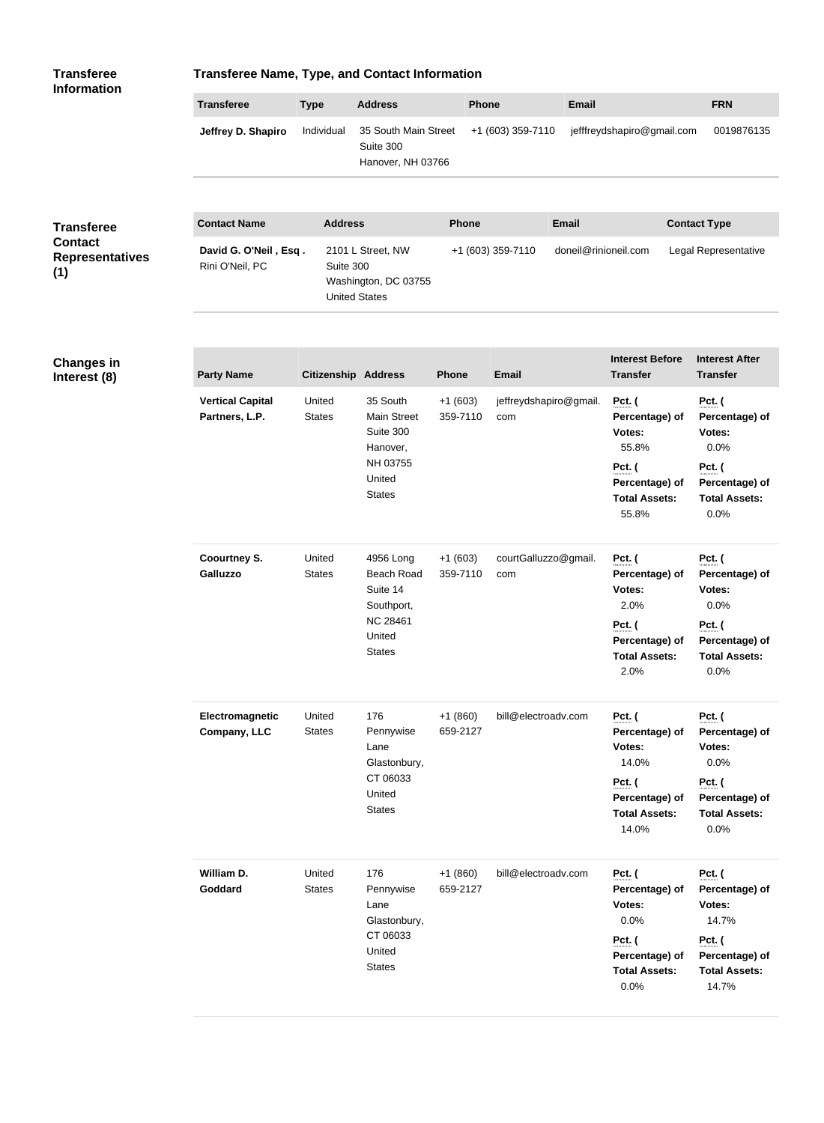| <b>Transferee</b><br><b>Information</b>         | <b>Transferee Name, Type, and Contact Information</b> |                                   |                                                          |                       |                               |                      |                                                                  |                                                                  |
|-------------------------------------------------|-------------------------------------------------------|-----------------------------------|----------------------------------------------------------|-----------------------|-------------------------------|----------------------|------------------------------------------------------------------|------------------------------------------------------------------|
|                                                 | <b>Transferee</b>                                     | <b>Type</b>                       | <b>Address</b>                                           | <b>Phone</b>          |                               | <b>Email</b>         |                                                                  | <b>FRN</b>                                                       |
|                                                 | Jeffrey D. Shapiro                                    | Individual                        | 35 South Main Street<br>Suite 300<br>Hanover, NH 03766   |                       | +1 (603) 359-7110             |                      | jefffreydshapiro@gmail.com                                       | 0019876135                                                       |
| <b>Transferee</b>                               | <b>Contact Name</b>                                   | <b>Address</b>                    |                                                          | <b>Phone</b>          |                               | <b>Email</b>         |                                                                  | <b>Contact Type</b>                                              |
| <b>Contact</b><br><b>Representatives</b><br>(1) | David G. O'Neil, Esq.<br>Rini O'Neil, PC              | Suite 300<br><b>United States</b> | 2101 L Street, NW<br>Washington, DC 03755                |                       | +1 (603) 359-7110             | doneil@rinioneil.com |                                                                  | Legal Representative                                             |
| <b>Changes in</b><br>Interest (8)               | <b>Party Name</b>                                     | <b>Citizenship Address</b>        |                                                          | Phone                 | Email                         |                      | <b>Interest Before</b><br><b>Transfer</b>                        | <b>Interest After</b><br><b>Transfer</b>                         |
|                                                 | <b>Vertical Capital</b><br>Partners, L.P.             | United<br><b>States</b>           | 35 South<br>Main Street<br>Suite 300<br>Hanover,         | $+1(603)$<br>359-7110 | jeffreydshapiro@gmail.<br>com |                      | <b>Pct.</b> (<br>Percentage) of<br>Votes:<br>55.8%               | <b>Pct.</b> (<br>Percentage) of<br>Votes:<br>0.0%                |
|                                                 |                                                       |                                   | NH 03755<br>United<br><b>States</b>                      |                       |                               |                      | Pct. (<br>Percentage) of<br><b>Total Assets:</b><br>55.8%        | <b>Pct.</b> (<br>Percentage) of<br><b>Total Assets:</b><br>0.0%  |
|                                                 | <b>Coourtney S.</b><br>Galluzzo                       | United<br><b>States</b>           | 4956 Long<br><b>Beach Road</b><br>Suite 14<br>Southport, | $+1(603)$<br>359-7110 | courtGalluzzo@gmail.<br>com   |                      | <b>Pct.</b> (<br>Percentage) of<br>Votes:<br>2.0%                | <b>Pct.</b> (<br>Percentage) of<br>Votes:<br>0.0%                |
|                                                 |                                                       |                                   | <b>NC 28461</b><br>United<br><b>States</b>               |                       |                               |                      | <b>Pct.</b> (<br>Percentage) of<br><b>Total Assets:</b><br>2.0%  | <b>Pct.</b> (<br>Percentage) of<br><b>Total Assets:</b><br>0.0%  |
|                                                 | Electromagnetic<br>Company, LLC                       | United<br><b>States</b>           | 176<br>Pennywise<br>Lane<br>Glastonbury,                 | $+1(860)$<br>659-2127 | bill@electroadv.com           |                      | <b>Pct.</b> (<br>Percentage) of<br>Votes:<br>14.0%               | <b>Pct.</b> (<br>Percentage) of<br>Votes:<br>0.0%                |
|                                                 |                                                       |                                   | CT 06033<br>United<br><b>States</b>                      |                       |                               |                      | <b>Pct.</b> (<br>Percentage) of<br><b>Total Assets:</b><br>14.0% | <b>Pct.</b> (<br>Percentage) of<br><b>Total Assets:</b><br>0.0%  |
|                                                 | William D.<br>Goddard                                 | United<br><b>States</b>           | 176<br>Pennywise<br>Lane<br>Glastonbury,<br>CT 06033     | $+1(860)$<br>659-2127 | bill@electroadv.com           |                      | Pct. (<br>Percentage) of<br>Votes:<br>0.0%                       | <b>Pct.</b> (<br>Percentage) of<br>Votes:<br>14.7%               |
|                                                 |                                                       |                                   | United<br><b>States</b>                                  |                       |                               |                      | <b>Pct.</b> (<br>Percentage) of<br><b>Total Assets:</b><br>0.0%  | <b>Pct.</b> (<br>Percentage) of<br><b>Total Assets:</b><br>14.7% |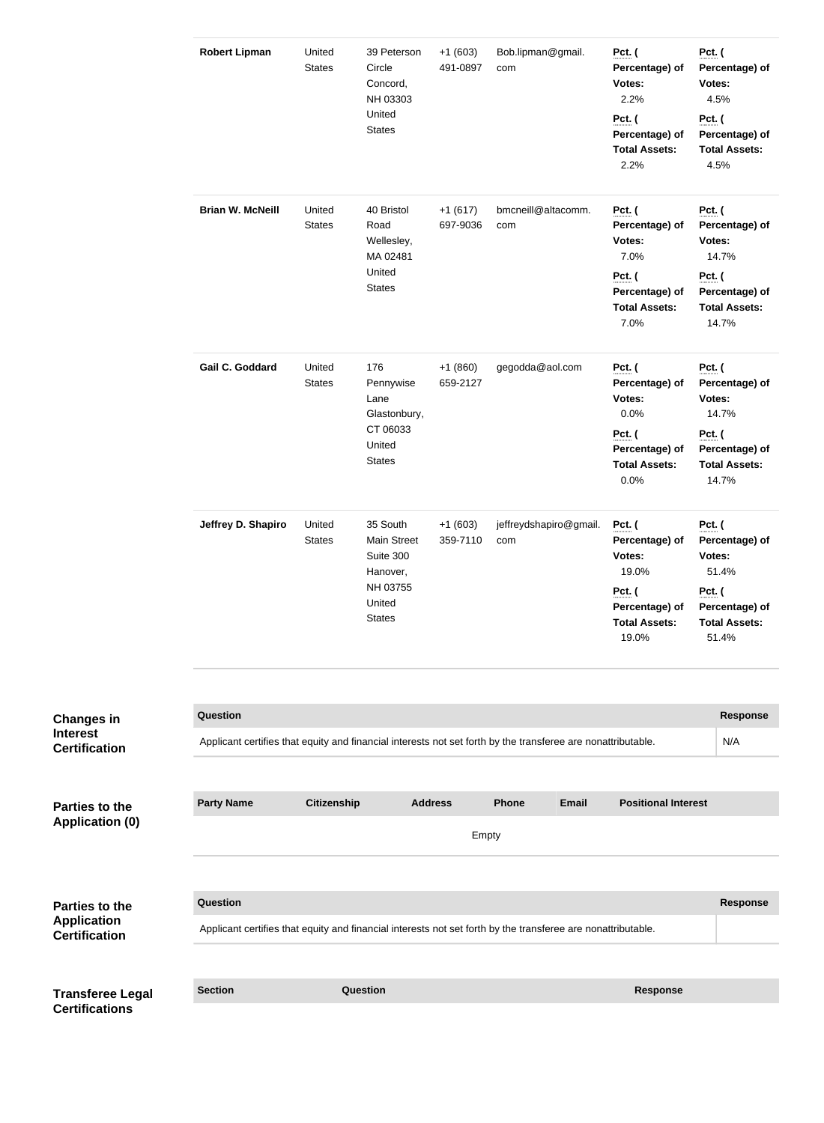|                                                              | <b>Robert Lipman</b>                                                                                                            | United<br><b>States</b> | 39 Peterson<br>Circle<br>Concord,<br>NH 03303<br>United<br><b>States</b> | $+1(603)$<br>491-0897 | Bob.lipman@gmail.<br>com      |              | Pct. (<br>Percentage) of<br>Votes:<br>2.2%<br><b>Pct.</b> (<br>Percentage) of<br><b>Total Assets:</b><br>2.2% | <b>Pct.</b> (<br>Votes:<br>4.5%<br>Pct. (<br>4.5% | Percentage) of<br>Percentage) of<br><b>Total Assets:</b>                   |
|--------------------------------------------------------------|---------------------------------------------------------------------------------------------------------------------------------|-------------------------|--------------------------------------------------------------------------|-----------------------|-------------------------------|--------------|---------------------------------------------------------------------------------------------------------------|---------------------------------------------------|----------------------------------------------------------------------------|
|                                                              | <b>Brian W. McNeill</b>                                                                                                         | United<br><b>States</b> | 40 Bristol<br>Road<br>Wellesley,<br>MA 02481<br>United<br><b>States</b>  | $+1(617)$<br>697-9036 | bmcneill@altacomm.<br>com     |              | Pct. (<br>Percentage) of<br>Votes:<br>7.0%<br>Pct. (<br>Percentage) of<br><b>Total Assets:</b><br>7.0%        | <b>Pct.</b> (<br>Votes:<br><b>Pct.</b> (          | Percentage) of<br>14.7%<br>Percentage) of<br><b>Total Assets:</b><br>14.7% |
|                                                              | Gail C. Goddard                                                                                                                 | United<br><b>States</b> | 176<br>Pennywise<br>Lane<br>Glastonbury,                                 | $+1(860)$<br>659-2127 | gegodda@aol.com               |              | <b>Pct.</b> (<br>Percentage) of<br>Votes:<br>0.0%                                                             | <b>Pct.</b> (<br>Votes:                           | Percentage) of<br>14.7%                                                    |
|                                                              |                                                                                                                                 |                         | CT 06033<br>United<br><b>States</b>                                      |                       |                               |              | Pct. (<br>Percentage) of<br><b>Total Assets:</b><br>0.0%                                                      | <b>Pct.</b> (                                     | Percentage) of<br><b>Total Assets:</b><br>14.7%                            |
|                                                              | Jeffrey D. Shapiro                                                                                                              | United<br><b>States</b> | 35 South<br><b>Main Street</b><br>Suite 300<br>Hanover,                  | $+1(603)$<br>359-7110 | jeffreydshapiro@gmail.<br>com |              | <b>Pct.</b> (<br>Percentage) of<br>Votes:<br>19.0%                                                            | <b>Pct.</b> (<br>Votes:                           | Percentage) of<br>51.4%                                                    |
|                                                              |                                                                                                                                 |                         | NH 03755<br>United<br><b>States</b>                                      |                       |                               |              | Pct. (<br>Percentage) of<br><b>Total Assets:</b><br>19.0%                                                     | <b>Pct.</b> (                                     | Percentage) of<br><b>Total Assets:</b><br>51.4%                            |
|                                                              |                                                                                                                                 |                         |                                                                          |                       |                               |              |                                                                                                               |                                                   |                                                                            |
| <b>Changes in</b><br><b>Interest</b><br><b>Certification</b> | <b>Question</b><br>Applicant certifies that equity and financial interests not set forth by the transferee are nonattributable. |                         |                                                                          |                       |                               |              |                                                                                                               |                                                   | <b>Response</b><br>N/A                                                     |
|                                                              |                                                                                                                                 |                         |                                                                          |                       |                               |              |                                                                                                               |                                                   |                                                                            |
| <b>Parties to the</b>                                        | <b>Party Name</b>                                                                                                               | <b>Citizenship</b>      | <b>Address</b>                                                           |                       | <b>Phone</b>                  | <b>Email</b> | <b>Positional Interest</b>                                                                                    |                                                   |                                                                            |
| <b>Application (0)</b>                                       |                                                                                                                                 |                         |                                                                          | Empty                 |                               |              |                                                                                                               |                                                   |                                                                            |
|                                                              |                                                                                                                                 |                         |                                                                          |                       |                               |              |                                                                                                               |                                                   |                                                                            |
| Parties to the<br><b>Application</b>                         | <b>Question</b><br>Applicant certifies that equity and financial interests not set forth by the transferee are nonattributable. |                         |                                                                          |                       |                               |              |                                                                                                               |                                                   | <b>Response</b>                                                            |
| <b>Certification</b>                                         |                                                                                                                                 |                         |                                                                          |                       |                               |              |                                                                                                               |                                                   |                                                                            |
| <b>Transferee Legal</b>                                      | <b>Section</b>                                                                                                                  |                         | Question                                                                 |                       |                               |              | <b>Response</b>                                                                                               |                                                   |                                                                            |
| <b>Certifications</b>                                        |                                                                                                                                 |                         |                                                                          |                       |                               |              |                                                                                                               |                                                   |                                                                            |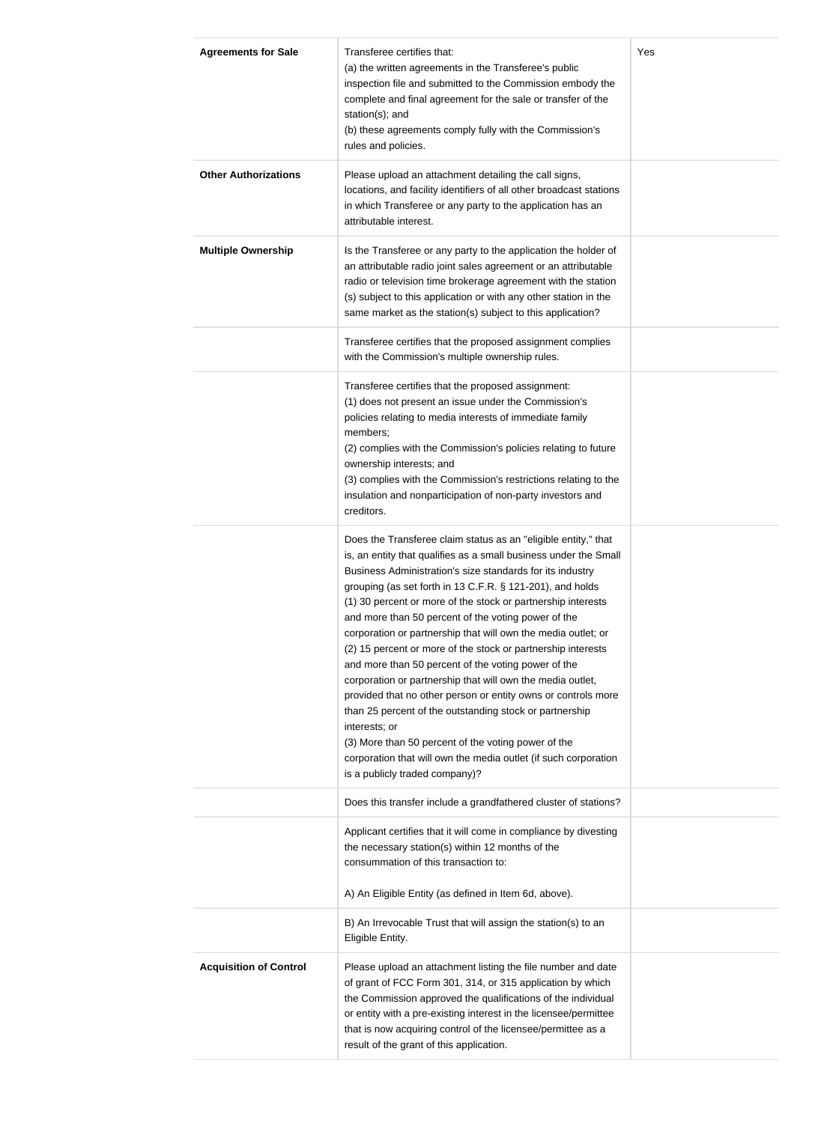| <b>Agreements for Sale</b>    | Transferee certifies that:<br>(a) the written agreements in the Transferee's public<br>inspection file and submitted to the Commission embody the<br>complete and final agreement for the sale or transfer of the<br>station(s); and<br>(b) these agreements comply fully with the Commission's<br>rules and policies.                                                                                                                                                                                                                                                                                                                                                                                                                                                                                                                                                                                                                             | Yes |
|-------------------------------|----------------------------------------------------------------------------------------------------------------------------------------------------------------------------------------------------------------------------------------------------------------------------------------------------------------------------------------------------------------------------------------------------------------------------------------------------------------------------------------------------------------------------------------------------------------------------------------------------------------------------------------------------------------------------------------------------------------------------------------------------------------------------------------------------------------------------------------------------------------------------------------------------------------------------------------------------|-----|
| <b>Other Authorizations</b>   | Please upload an attachment detailing the call signs,<br>locations, and facility identifiers of all other broadcast stations<br>in which Transferee or any party to the application has an<br>attributable interest.                                                                                                                                                                                                                                                                                                                                                                                                                                                                                                                                                                                                                                                                                                                               |     |
| <b>Multiple Ownership</b>     | Is the Transferee or any party to the application the holder of<br>an attributable radio joint sales agreement or an attributable<br>radio or television time brokerage agreement with the station<br>(s) subject to this application or with any other station in the<br>same market as the station(s) subject to this application?                                                                                                                                                                                                                                                                                                                                                                                                                                                                                                                                                                                                               |     |
|                               | Transferee certifies that the proposed assignment complies<br>with the Commission's multiple ownership rules.<br>Transferee certifies that the proposed assignment:<br>(1) does not present an issue under the Commission's<br>policies relating to media interests of immediate family<br>members;<br>(2) complies with the Commission's policies relating to future<br>ownership interests; and<br>(3) complies with the Commission's restrictions relating to the<br>insulation and nonparticipation of non-party investors and<br>creditors.                                                                                                                                                                                                                                                                                                                                                                                                   |     |
|                               | Does the Transferee claim status as an "eligible entity," that<br>is, an entity that qualifies as a small business under the Small<br>Business Administration's size standards for its industry<br>grouping (as set forth in 13 C.F.R. § 121-201), and holds<br>(1) 30 percent or more of the stock or partnership interests<br>and more than 50 percent of the voting power of the<br>corporation or partnership that will own the media outlet; or<br>(2) 15 percent or more of the stock or partnership interests<br>and more than 50 percent of the voting power of the<br>corporation or partnership that will own the media outlet,<br>provided that no other person or entity owns or controls more<br>than 25 percent of the outstanding stock or partnership<br>interests; or<br>(3) More than 50 percent of the voting power of the<br>corporation that will own the media outlet (if such corporation<br>is a publicly traded company)? |     |
|                               | Does this transfer include a grandfathered cluster of stations?<br>Applicant certifies that it will come in compliance by divesting<br>the necessary station(s) within 12 months of the<br>consummation of this transaction to:<br>A) An Eligible Entity (as defined in Item 6d, above).<br>B) An Irrevocable Trust that will assign the station(s) to an                                                                                                                                                                                                                                                                                                                                                                                                                                                                                                                                                                                          |     |
| <b>Acquisition of Control</b> | Eligible Entity.<br>Please upload an attachment listing the file number and date<br>of grant of FCC Form 301, 314, or 315 application by which<br>the Commission approved the qualifications of the individual<br>or entity with a pre-existing interest in the licensee/permittee<br>that is now acquiring control of the licensee/permittee as a<br>result of the grant of this application.                                                                                                                                                                                                                                                                                                                                                                                                                                                                                                                                                     |     |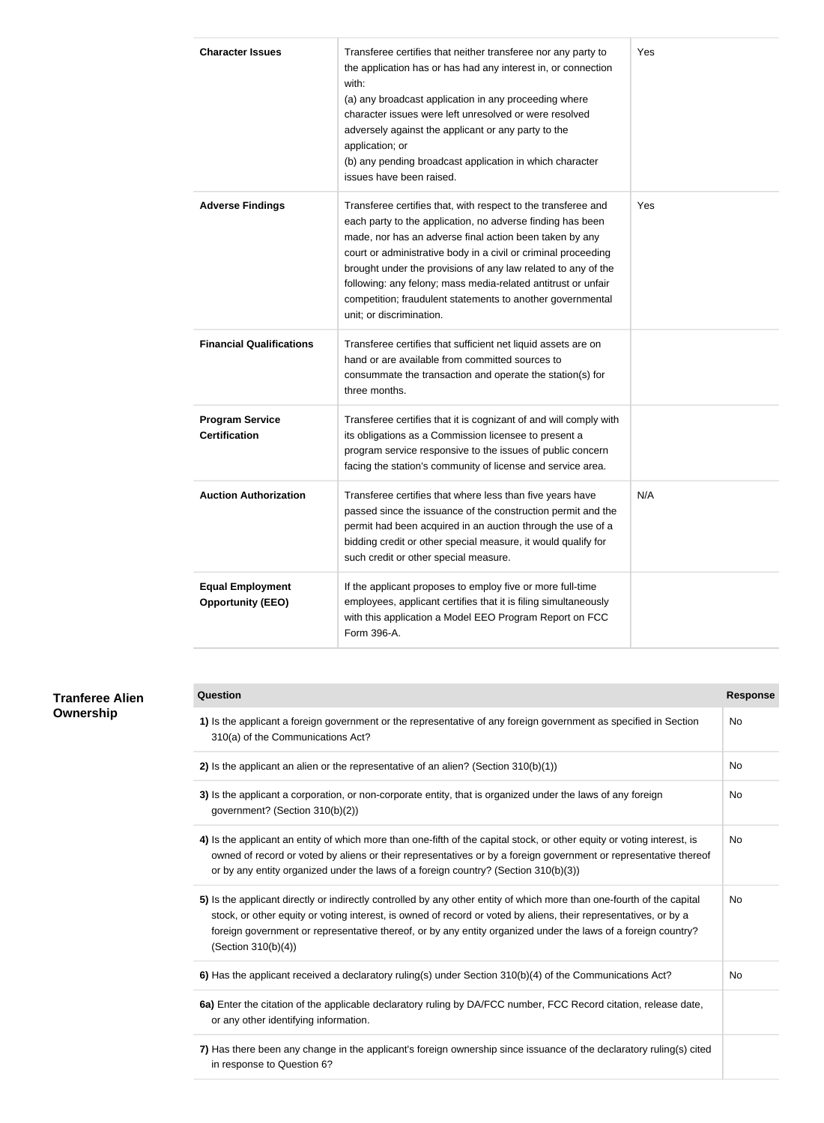| <b>Character Issues</b>                             | Transferee certifies that neither transferee nor any party to<br>the application has or has had any interest in, or connection<br>with:<br>(a) any broadcast application in any proceeding where<br>character issues were left unresolved or were resolved<br>adversely against the applicant or any party to the<br>application; or<br>(b) any pending broadcast application in which character<br>issues have been raised.                                                         | Yes |
|-----------------------------------------------------|--------------------------------------------------------------------------------------------------------------------------------------------------------------------------------------------------------------------------------------------------------------------------------------------------------------------------------------------------------------------------------------------------------------------------------------------------------------------------------------|-----|
| <b>Adverse Findings</b>                             | Transferee certifies that, with respect to the transferee and<br>each party to the application, no adverse finding has been<br>made, nor has an adverse final action been taken by any<br>court or administrative body in a civil or criminal proceeding<br>brought under the provisions of any law related to any of the<br>following: any felony; mass media-related antitrust or unfair<br>competition; fraudulent statements to another governmental<br>unit; or discrimination. | Yes |
| <b>Financial Qualifications</b>                     | Transferee certifies that sufficient net liquid assets are on<br>hand or are available from committed sources to<br>consummate the transaction and operate the station(s) for<br>three months.                                                                                                                                                                                                                                                                                       |     |
| <b>Program Service</b><br><b>Certification</b>      | Transferee certifies that it is cognizant of and will comply with<br>its obligations as a Commission licensee to present a<br>program service responsive to the issues of public concern<br>facing the station's community of license and service area.                                                                                                                                                                                                                              |     |
| <b>Auction Authorization</b>                        | Transferee certifies that where less than five years have<br>passed since the issuance of the construction permit and the<br>permit had been acquired in an auction through the use of a<br>bidding credit or other special measure, it would qualify for<br>such credit or other special measure.                                                                                                                                                                                   | N/A |
| <b>Equal Employment</b><br><b>Opportunity (EEO)</b> | If the applicant proposes to employ five or more full-time<br>employees, applicant certifies that it is filing simultaneously<br>with this application a Model EEO Program Report on FCC<br>Form 396-A.                                                                                                                                                                                                                                                                              |     |

| <b>Question</b>                                                                                                                                                                                                                                                                                                                                                                    | <b>Response</b> |
|------------------------------------------------------------------------------------------------------------------------------------------------------------------------------------------------------------------------------------------------------------------------------------------------------------------------------------------------------------------------------------|-----------------|
| 1) Is the applicant a foreign government or the representative of any foreign government as specified in Section<br>310(a) of the Communications Act?                                                                                                                                                                                                                              | No.             |
| 2) Is the applicant an alien or the representative of an alien? (Section 310(b)(1))                                                                                                                                                                                                                                                                                                | No              |
| 3) Is the applicant a corporation, or non-corporate entity, that is organized under the laws of any foreign<br>government? (Section 310(b)(2))                                                                                                                                                                                                                                     | <b>No</b>       |
| 4) Is the applicant an entity of which more than one-fifth of the capital stock, or other equity or voting interest, is<br>owned of record or voted by aliens or their representatives or by a foreign government or representative thereof<br>or by any entity organized under the laws of a foreign country? (Section 310(b)(3))                                                 | No              |
| 5) Is the applicant directly or indirectly controlled by any other entity of which more than one-fourth of the capital<br>stock, or other equity or voting interest, is owned of record or voted by aliens, their representatives, or by a<br>foreign government or representative thereof, or by any entity organized under the laws of a foreign country?<br>(Section 310(b)(4)) | <b>No</b>       |
| 6) Has the applicant received a declaratory ruling(s) under Section 310(b)(4) of the Communications Act?                                                                                                                                                                                                                                                                           | <b>No</b>       |
| 6a) Enter the citation of the applicable declaratory ruling by DA/FCC number, FCC Record citation, release date,<br>or any other identifying information.                                                                                                                                                                                                                          |                 |
| 7) Has there been any change in the applicant's foreign ownership since issuance of the declaratory ruling(s) cited<br>in response to Question 6?                                                                                                                                                                                                                                  |                 |

### **Tranferee Alie Ownership**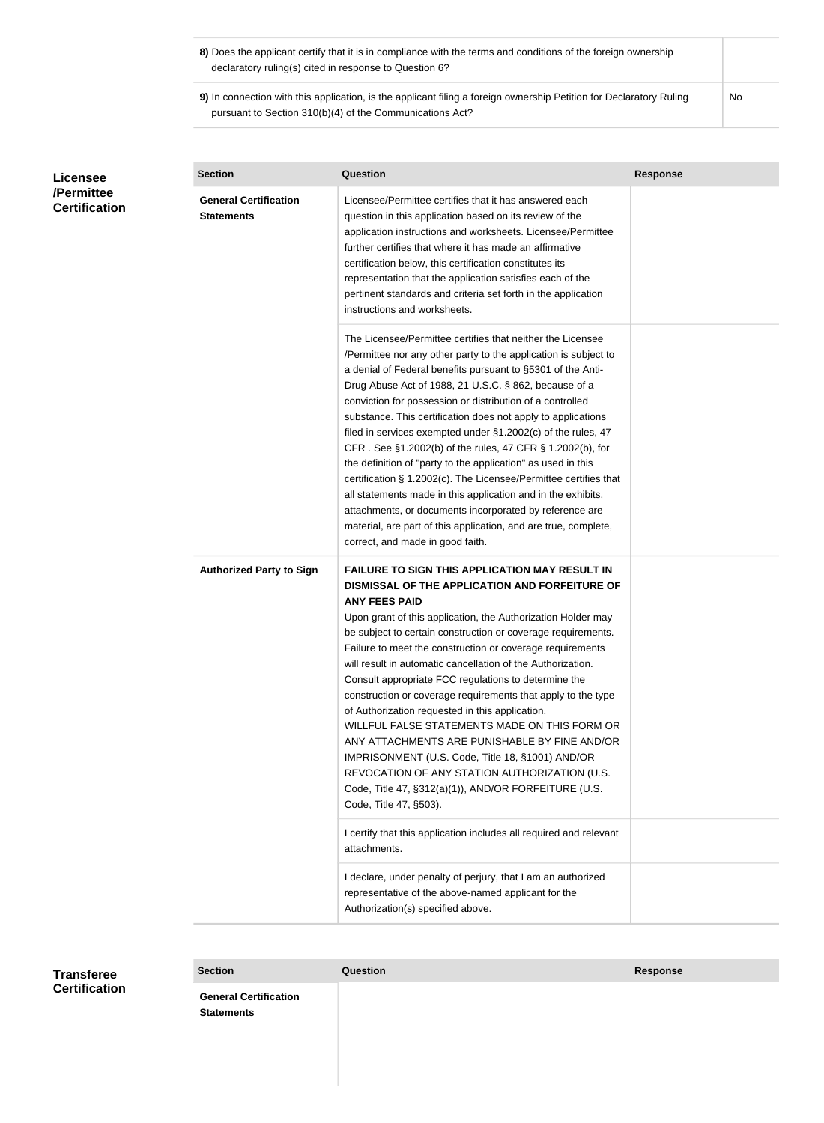| 8) Does the applicant certify that it is in compliance with the terms and conditions of the foreign ownership |  |
|---------------------------------------------------------------------------------------------------------------|--|
| declaratory ruling(s) cited in response to Question 6?                                                        |  |

**9)** In connection with this application, is the applicant filing a foreign ownership Petition for Declaratory Ruling pursuant to Section 310(b)(4) of the Communications Act?

| Licensee<br>/Permittee<br><b>Certification</b> | <b>Section</b>                                    | <b>Question</b>                                                                                                                                                                                                                                                                                                                                                                                                                                                                                                                                                                                                                                                                                                                                                                                                                                                                       | <b>Response</b> |
|------------------------------------------------|---------------------------------------------------|---------------------------------------------------------------------------------------------------------------------------------------------------------------------------------------------------------------------------------------------------------------------------------------------------------------------------------------------------------------------------------------------------------------------------------------------------------------------------------------------------------------------------------------------------------------------------------------------------------------------------------------------------------------------------------------------------------------------------------------------------------------------------------------------------------------------------------------------------------------------------------------|-----------------|
|                                                | <b>General Certification</b><br><b>Statements</b> | Licensee/Permittee certifies that it has answered each<br>question in this application based on its review of the<br>application instructions and worksheets. Licensee/Permittee<br>further certifies that where it has made an affirmative<br>certification below, this certification constitutes its<br>representation that the application satisfies each of the<br>pertinent standards and criteria set forth in the application<br>instructions and worksheets.                                                                                                                                                                                                                                                                                                                                                                                                                  |                 |
|                                                |                                                   | The Licensee/Permittee certifies that neither the Licensee<br>/Permittee nor any other party to the application is subject to<br>a denial of Federal benefits pursuant to §5301 of the Anti-<br>Drug Abuse Act of 1988, 21 U.S.C. § 862, because of a<br>conviction for possession or distribution of a controlled<br>substance. This certification does not apply to applications<br>filed in services exempted under §1.2002(c) of the rules, 47<br>CFR. See §1.2002(b) of the rules, 47 CFR § 1.2002(b), for<br>the definition of "party to the application" as used in this<br>certification § 1.2002(c). The Licensee/Permittee certifies that<br>all statements made in this application and in the exhibits,<br>attachments, or documents incorporated by reference are<br>material, are part of this application, and are true, complete,<br>correct, and made in good faith. |                 |
|                                                | <b>Authorized Party to Sign</b>                   | <b>FAILURE TO SIGN THIS APPLICATION MAY RESULT IN</b><br>DISMISSAL OF THE APPLICATION AND FORFEITURE OF<br><b>ANY FEES PAID</b><br>Upon grant of this application, the Authorization Holder may<br>be subject to certain construction or coverage requirements.<br>Failure to meet the construction or coverage requirements<br>will result in automatic cancellation of the Authorization.<br>Consult appropriate FCC regulations to determine the<br>construction or coverage requirements that apply to the type<br>of Authorization requested in this application.<br>WILLFUL FALSE STATEMENTS MADE ON THIS FORM OR<br>ANY ATTACHMENTS ARE PUNISHABLE BY FINE AND/OR<br>IMPRISONMENT (U.S. Code, Title 18, §1001) AND/OR<br>REVOCATION OF ANY STATION AUTHORIZATION (U.S.<br>Code, Title 47, §312(a)(1)), AND/OR FORFEITURE (U.S.<br>Code, Title 47, §503).                       |                 |
|                                                |                                                   | I certify that this application includes all required and relevant<br>attachments.                                                                                                                                                                                                                                                                                                                                                                                                                                                                                                                                                                                                                                                                                                                                                                                                    |                 |
|                                                |                                                   | I declare, under penalty of perjury, that I am an authorized<br>representative of the above-named applicant for the<br>Authorization(s) specified above.                                                                                                                                                                                                                                                                                                                                                                                                                                                                                                                                                                                                                                                                                                                              |                 |

### **Transferee Certification**

**Section Question Response**

**General Certification Statements**

No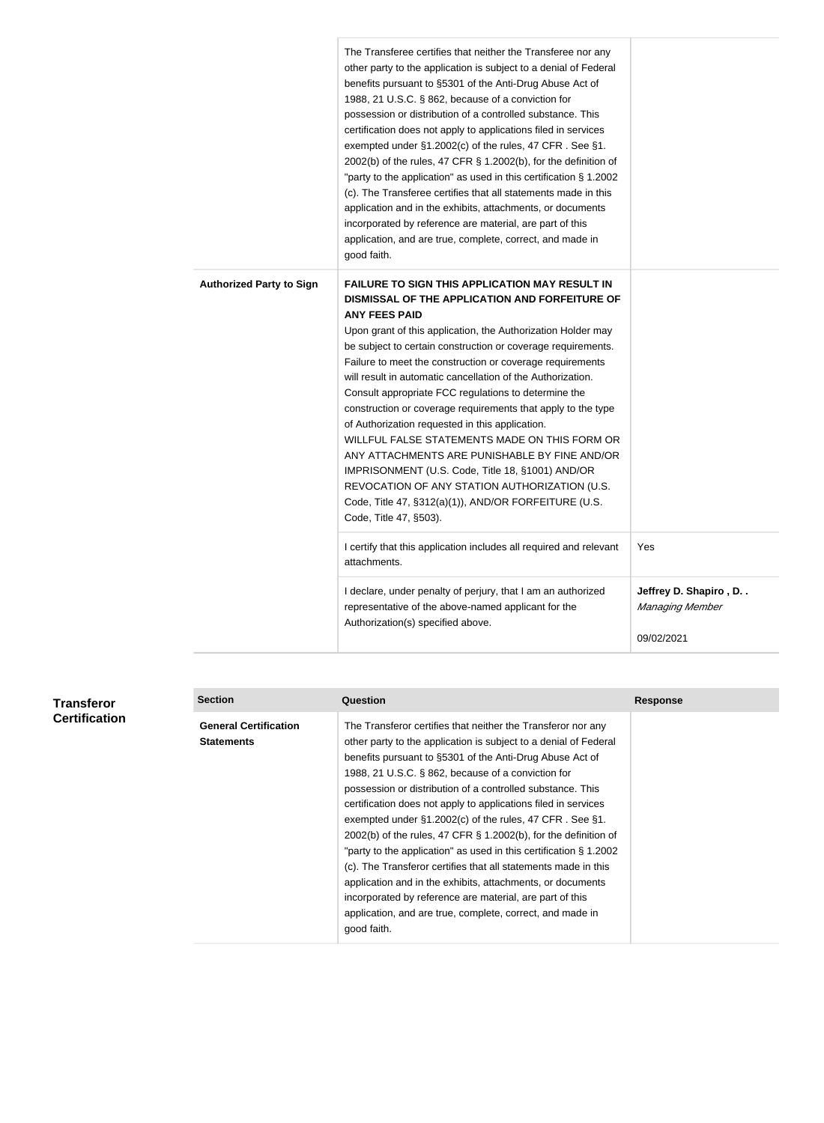|                                 | The Transferee certifies that neither the Transferee nor any<br>other party to the application is subject to a denial of Federal<br>benefits pursuant to §5301 of the Anti-Drug Abuse Act of<br>1988, 21 U.S.C. § 862, because of a conviction for<br>possession or distribution of a controlled substance. This<br>certification does not apply to applications filed in services<br>exempted under §1.2002(c) of the rules, 47 CFR. See §1.<br>2002(b) of the rules, 47 CFR $\S$ 1.2002(b), for the definition of<br>"party to the application" as used in this certification § 1.2002<br>(c). The Transferee certifies that all statements made in this<br>application and in the exhibits, attachments, or documents<br>incorporated by reference are material, are part of this<br>application, and are true, complete, correct, and made in<br>good faith. |                                                        |
|---------------------------------|------------------------------------------------------------------------------------------------------------------------------------------------------------------------------------------------------------------------------------------------------------------------------------------------------------------------------------------------------------------------------------------------------------------------------------------------------------------------------------------------------------------------------------------------------------------------------------------------------------------------------------------------------------------------------------------------------------------------------------------------------------------------------------------------------------------------------------------------------------------|--------------------------------------------------------|
| <b>Authorized Party to Sign</b> | <b>FAILURE TO SIGN THIS APPLICATION MAY RESULT IN</b><br>DISMISSAL OF THE APPLICATION AND FORFEITURE OF<br><b>ANY FEES PAID</b><br>Upon grant of this application, the Authorization Holder may<br>be subject to certain construction or coverage requirements.<br>Failure to meet the construction or coverage requirements<br>will result in automatic cancellation of the Authorization.<br>Consult appropriate FCC regulations to determine the<br>construction or coverage requirements that apply to the type<br>of Authorization requested in this application.<br>WILLFUL FALSE STATEMENTS MADE ON THIS FORM OR<br>ANY ATTACHMENTS ARE PUNISHABLE BY FINE AND/OR<br>IMPRISONMENT (U.S. Code, Title 18, §1001) AND/OR<br>REVOCATION OF ANY STATION AUTHORIZATION (U.S.<br>Code, Title 47, §312(a)(1)), AND/OR FORFEITURE (U.S.<br>Code, Title 47, §503).  |                                                        |
|                                 | I certify that this application includes all required and relevant<br>attachments.                                                                                                                                                                                                                                                                                                                                                                                                                                                                                                                                                                                                                                                                                                                                                                               | Yes                                                    |
|                                 | I declare, under penalty of perjury, that I am an authorized<br>representative of the above-named applicant for the<br>Authorization(s) specified above.                                                                                                                                                                                                                                                                                                                                                                                                                                                                                                                                                                                                                                                                                                         | Jeffrey D. Shapiro, D<br>Managing Member<br>09/02/2021 |

| Transferor           | <b>Section</b>                                    | <b>Question</b>                                                                                                                                                                                                                                                                                                                                                                                                                                                                                                                                                                                                                                                                                                                                                                                                                                                     | <b>Response</b> |
|----------------------|---------------------------------------------------|---------------------------------------------------------------------------------------------------------------------------------------------------------------------------------------------------------------------------------------------------------------------------------------------------------------------------------------------------------------------------------------------------------------------------------------------------------------------------------------------------------------------------------------------------------------------------------------------------------------------------------------------------------------------------------------------------------------------------------------------------------------------------------------------------------------------------------------------------------------------|-----------------|
| <b>Certification</b> | <b>General Certification</b><br><b>Statements</b> | The Transferor certifies that neither the Transferor nor any<br>other party to the application is subject to a denial of Federal<br>benefits pursuant to §5301 of the Anti-Drug Abuse Act of<br>1988, 21 U.S.C. § 862, because of a conviction for<br>possession or distribution of a controlled substance. This<br>certification does not apply to applications filed in services<br>exempted under §1.2002(c) of the rules, 47 CFR. See §1.<br>2002(b) of the rules, 47 CFR $\S$ 1.2002(b), for the definition of<br>"party to the application" as used in this certification $\S$ 1.2002<br>(c). The Transferor certifies that all statements made in this<br>application and in the exhibits, attachments, or documents<br>incorporated by reference are material, are part of this<br>application, and are true, complete, correct, and made in<br>good faith. |                 |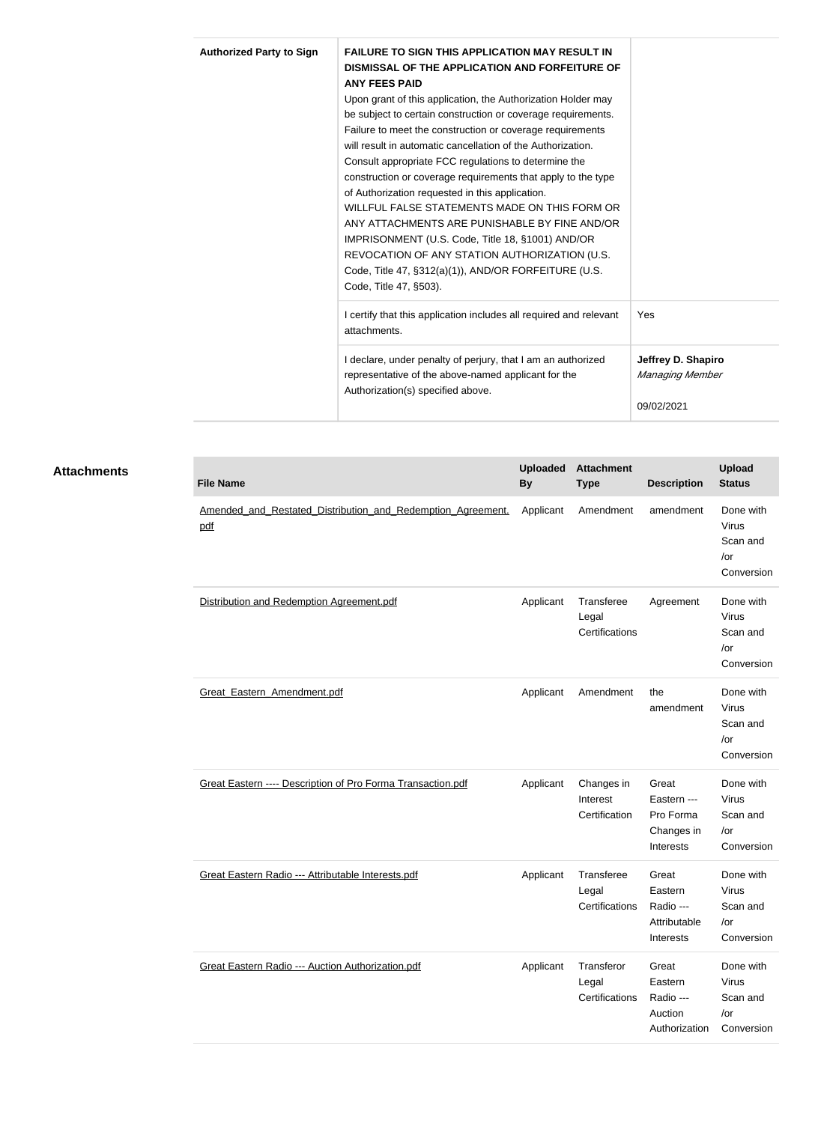| <b>Authorized Party to Sign</b> | <b>FAILURE TO SIGN THIS APPLICATION MAY RESULT IN</b><br>DISMISSAL OF THE APPLICATION AND FORFEITURE OF |                    |
|---------------------------------|---------------------------------------------------------------------------------------------------------|--------------------|
|                                 | <b>ANY FEES PAID</b>                                                                                    |                    |
|                                 | Upon grant of this application, the Authorization Holder may                                            |                    |
|                                 | be subject to certain construction or coverage requirements.                                            |                    |
|                                 | Failure to meet the construction or coverage requirements                                               |                    |
|                                 | will result in automatic cancellation of the Authorization.                                             |                    |
|                                 | Consult appropriate FCC regulations to determine the                                                    |                    |
|                                 | construction or coverage requirements that apply to the type                                            |                    |
|                                 | of Authorization requested in this application.                                                         |                    |
|                                 | WILLFUL FALSE STATEMENTS MADE ON THIS FORM OR                                                           |                    |
|                                 | ANY ATTACHMENTS ARE PUNISHABLE BY FINE AND/OR                                                           |                    |
|                                 | IMPRISONMENT (U.S. Code, Title 18, §1001) AND/OR                                                        |                    |
|                                 | REVOCATION OF ANY STATION AUTHORIZATION (U.S.                                                           |                    |
|                                 | Code, Title 47, §312(a)(1)), AND/OR FORFEITURE (U.S.                                                    |                    |
|                                 | Code, Title 47, §503).                                                                                  |                    |
|                                 | I certify that this application includes all required and relevant<br>attachments.                      | Yes                |
|                                 | I declare, under penalty of perjury, that I am an authorized                                            | Jeffrey D. Shapiro |
|                                 | representative of the above-named applicant for the                                                     | Managing Member    |
|                                 | Authorization(s) specified above.                                                                       |                    |
|                                 |                                                                                                         | 09/02/2021         |

| <b>Attachments</b> | <b>File Name</b>                                                   | <b>Uploaded</b><br><b>By</b> | <b>Attachment</b><br><b>Type</b>        | <b>Description</b>                                           | <b>Upload</b><br><b>Status</b>                                |
|--------------------|--------------------------------------------------------------------|------------------------------|-----------------------------------------|--------------------------------------------------------------|---------------------------------------------------------------|
|                    | Amended and Restated Distribution and Redemption Agreement.<br>pdf | Applicant                    | Amendment                               | amendment                                                    | Done with<br><b>Virus</b><br>Scan and<br>$/$ or<br>Conversion |
|                    | Distribution and Redemption Agreement.pdf                          | Applicant                    | Transferee<br>Legal<br>Certifications   | Agreement                                                    | Done with<br>Virus<br>Scan and<br>/or<br>Conversion           |
|                    | Great Eastern Amendment.pdf                                        | Applicant                    | Amendment                               | the<br>amendment                                             | Done with<br><b>Virus</b><br>Scan and<br>/or<br>Conversion    |
|                    | Great Eastern ---- Description of Pro Forma Transaction.pdf        | Applicant                    | Changes in<br>Interest<br>Certification | Great<br>Eastern ---<br>Pro Forma<br>Changes in<br>Interests | Done with<br><b>Virus</b><br>Scan and<br>/or<br>Conversion    |
|                    | Great Eastern Radio --- Attributable Interests.pdf                 | Applicant                    | Transferee<br>Legal<br>Certifications   | Great<br>Eastern<br>Radio ---                                | Done with<br><b>Virus</b><br>Scan and                         |

Great Eastern Radio --- Auction Authorization.pdf Manuscon Applicant Transferor

Attributable Interests

Authorization

Great Eastern Radio --- Auction

Legal

Certifications

/or

/or

Conversion

Done with Virus Scan and

Conversion